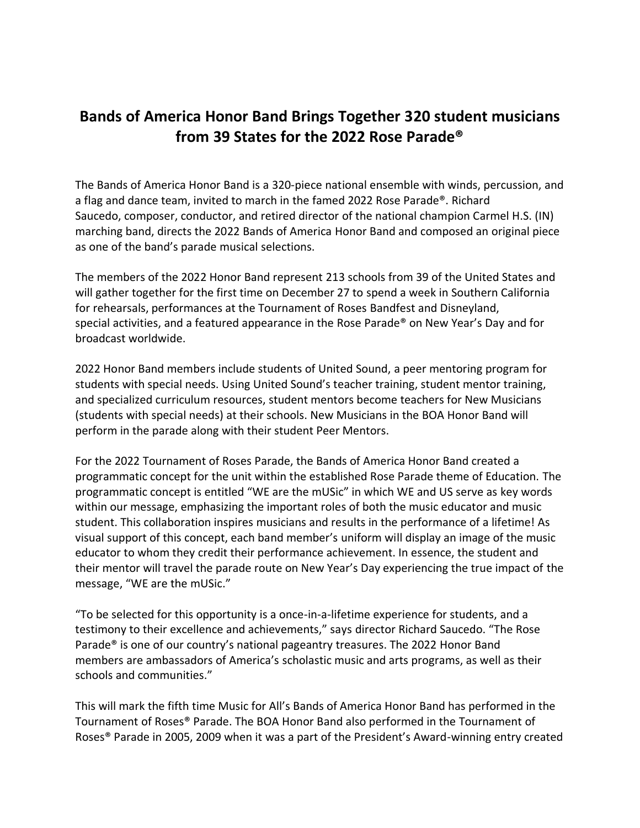## **Bands of America Honor Band Brings Together 320 student musicians from 39 States for the 2022 Rose Parade®**

The Bands of America Honor Band is a 320-piece national ensemble with winds, percussion, and a flag and dance team, invited to march in the famed 2022 Rose Parade®. Richard Saucedo, composer, conductor, and retired director of the national champion Carmel H.S. (IN) marching band, directs the 2022 Bands of America Honor Band and composed an original piece as one of the band's parade musical selections.

The members of the 2022 Honor Band represent 213 schools from 39 of the United States and will gather together for the first time on December 27 to spend a week in Southern California for rehearsals, performances at the Tournament of Roses Bandfest and Disneyland, special activities, and a featured appearance in the Rose Parade® on New Year's Day and for broadcast worldwide.

2022 Honor Band members include students of United Sound, a peer mentoring program for students with special needs. Using United Sound's teacher training, student mentor training, and specialized curriculum resources, student mentors become teachers for New Musicians (students with special needs) at their schools. New Musicians in the BOA Honor Band will perform in the parade along with their student Peer Mentors.

For the 2022 Tournament of Roses Parade, the Bands of America Honor Band created a programmatic concept for the unit within the established Rose Parade theme of Education. The programmatic concept is entitled "WE are the mUSic" in which WE and US serve as key words within our message, emphasizing the important roles of both the music educator and music student. This collaboration inspires musicians and results in the performance of a lifetime! As visual support of this concept, each band member's uniform will display an image of the music educator to whom they credit their performance achievement. In essence, the student and their mentor will travel the parade route on New Year's Day experiencing the true impact of the message, "WE are the mUSic."

"To be selected for this opportunity is a once-in-a-lifetime experience for students, and a testimony to their excellence and achievements," says director Richard Saucedo. "The Rose Parade® is one of our country's national pageantry treasures. The 2022 Honor Band members are ambassadors of America's scholastic music and arts programs, as well as their schools and communities."

This will mark the fifth time Music for All's Bands of America Honor Band has performed in the Tournament of Roses® Parade. The BOA Honor Band also performed in the Tournament of Roses® Parade in 2005, 2009 when it was a part of the President's Award-winning entry created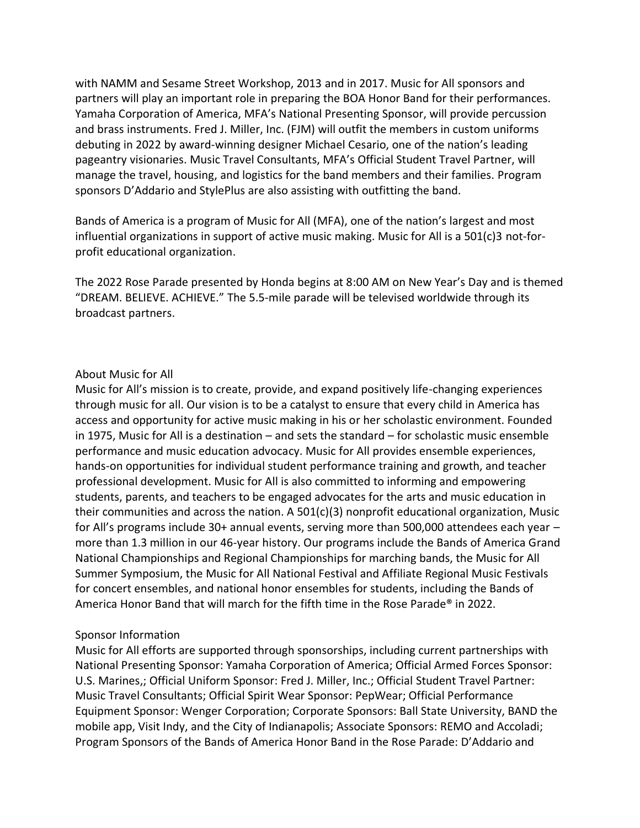with NAMM and Sesame Street Workshop, 2013 and in 2017. Music for All sponsors and partners will play an important role in preparing the BOA Honor Band for their performances. Yamaha Corporation of America, MFA's National Presenting Sponsor, will provide percussion and brass instruments. Fred J. Miller, Inc. (FJM) will outfit the members in custom uniforms debuting in 2022 by award-winning designer Michael Cesario, one of the nation's leading pageantry visionaries. Music Travel Consultants, MFA's Official Student Travel Partner, will manage the travel, housing, and logistics for the band members and their families. Program sponsors D'Addario and StylePlus are also assisting with outfitting the band.

Bands of America is a program of Music for All (MFA), one of the nation's largest and most influential organizations in support of active music making. Music for All is a 501(c)3 not-forprofit educational organization.

The 2022 Rose Parade presented by Honda begins at 8:00 AM on New Year's Day and is themed "DREAM. BELIEVE. ACHIEVE." The 5.5-mile parade will be televised worldwide through its broadcast partners.

## About Music for All

Music for All's mission is to create, provide, and expand positively life-changing experiences through music for all. Our vision is to be a catalyst to ensure that every child in America has access and opportunity for active music making in his or her scholastic environment. Founded in 1975, Music for All is a destination – and sets the standard – for scholastic music ensemble performance and music education advocacy. Music for All provides ensemble experiences, hands-on opportunities for individual student performance training and growth, and teacher professional development. Music for All is also committed to informing and empowering students, parents, and teachers to be engaged advocates for the arts and music education in their communities and across the nation. A 501(c)(3) nonprofit educational organization, Music for All's programs include 30+ annual events, serving more than 500,000 attendees each year – more than 1.3 million in our 46-year history. Our programs include the Bands of America Grand National Championships and Regional Championships for marching bands, the Music for All Summer Symposium, the Music for All National Festival and Affiliate Regional Music Festivals for concert ensembles, and national honor ensembles for students, including the Bands of America Honor Band that will march for the fifth time in the Rose Parade® in 2022.

## Sponsor Information

Music for All efforts are supported through sponsorships, including current partnerships with National Presenting Sponsor: Yamaha Corporation of America; Official Armed Forces Sponsor: U.S. Marines,; Official Uniform Sponsor: Fred J. Miller, Inc.; Official Student Travel Partner: Music Travel Consultants; Official Spirit Wear Sponsor: PepWear; Official Performance Equipment Sponsor: Wenger Corporation; Corporate Sponsors: Ball State University, BAND the mobile app, Visit Indy, and the City of Indianapolis; Associate Sponsors: REMO and Accoladi; Program Sponsors of the Bands of America Honor Band in the Rose Parade: D'Addario and